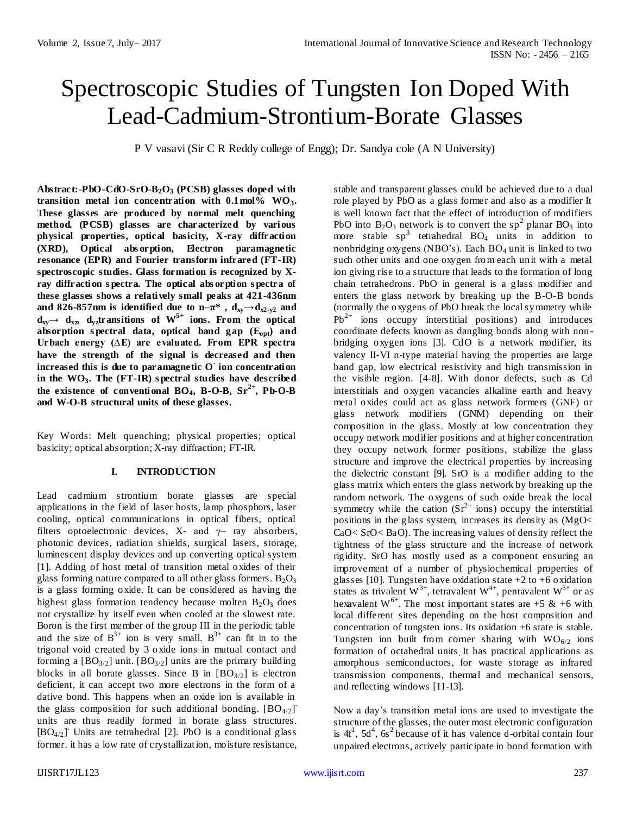# Spectroscopic Studies of Tungsten Ion Doped With Lead-Cadmium-Strontium-Borate Glasses

P V vasavi (Sir C R Reddy college of Engg); Dr. Sandya cole (A N University)

**Abstract:-PbO-CdO-SrO-B2O<sup>3</sup> (PCSB) glasses doped with transition metal ion concentration with 0.1mol% WO3. These glasses are produced by normal melt quenching method. (PCSB) glasses are characterized by various physical properties, optical basicity, X-ray diffraction (XRD), Optical abs orption, Electron paramagnetic resonance (EPR) and Fourier transform infrared (FT-IR) spectroscopic studies. Glass formation is recognized by Xray diffraction s pectra. The optical abs orption s pectra of these glasses shows a relatively small peaks at 421-436nm and 826-857nm is identified due to**  $n-\pi^*$ **,**  $d_{xy} \rightarrow d_{x2-y2}$  **and**  $d_{xy} \rightarrow d_{xz}$   $d_{yz}$ **transitions** of  $W^{5+}$  ions. From the optical **absorption s pectral data, optical band gap (Eopt) and Urbach energy (∆E) are evaluated. From EPR spectra have the strength of the signal is decreased and then increased this is due to paramagnetic O-ion concentration in the WO3. The (FT-IR) s pectral studies have described**  the existence of conventional  $BO_4$ ,  $B-O-B$ ,  $Sr^{2+}$ ,  $Pb-O-B$ **and W-O-B structural units of these glasses.**

Key Words: Melt quenching; physical properties; optical basicity; optical absorption; X-ray diffraction; FT-IR.

## **I. INTRODUCTION**

Lead cadmium strontium borate glasses are special applications in the field of laser hosts, lamp phosphors, laser cooling, optical communications in optical fibers, optical filters optoelectronic devices, X- and  $\gamma$ - ray absorbers, photonic devices, radiation shields, surgical lasers, storage, luminescent display devices and up converting optical system [1]. Adding of host metal of transition metal oxides of their glass forming nature compared to all other glass formers.  $B_2O_3$ is a glass forming oxide. It can be considered as having the highest glass formation tendency because molten  $B_2O_3$  does not crystallize by itself even when cooled at the slowest rate. Boron is the first member of the group III in the periodic table and the size of  $B^{3+}$  ion is very small.  $B^{3+}$  can fit in to the trigonal void created by 3 oxide ions in mutual contact and forming a  $[BO<sub>3/2</sub>]$  unit.  $[BO<sub>3/2</sub>]$  units are the primary building blocks in all borate glasses. Since B in  $[BO_{3/2}]$  is electron deficient, it can accept two more electrons in the form of a dative bond. This happens when an oxide ion is available in the glass composition for such additional bonding.  $[BO_{4/2}]$ units are thus readily formed in borate glass structures.  $[BO_{4/2}]$ <sup>T</sup> Units are tetrahedral [2]. PbO is a conditional glass former. it has a low rate of crystallization, moisture resistance,

stable and transparent glasses could be achieved due to a dual role played by PbO as a glass former and also as a modifier It is well known fact that the effect of introduction of modifiers PbO into  $B_2O_3$  network is to convert the sp<sup>2</sup> planar BO<sub>3</sub> into more stable  $sp^3$  tetrahedral BO<sub>4</sub> units in addition to nonbridging oxygens (NBO's). Each  $BO<sub>4</sub>$  unit is linked to two such other units and one oxygen from each unit with a metal ion giving rise to a structure that leads to the formation of long chain tetrahedrons. PbO in general is a glass modifier and enters the glass network by breaking up the B-O-B bonds (normally the oxygens of PbO break the local symmetry while  $Pb^{2+}$  ions occupy interstitial positions) and introduces coordinate defects known as dangling bonds along with nonbridging oxygen ions [3]. CdO is a network modifier, its valency II-VI n-type material having the properties are large band gap, low electrical resistivity and high transmission in the visible region. [4-8]. With donor defects, such as Cd interstitials and oxygen vacancies alkaline earth and heavy metal oxides could act as glass network formers (GNF) or glass network modifiers (GNM) depending on their composition in the glass. Mostly at low concentration they occupy network modifier positions and at higher concentration they occupy network former positions, stabilize the glass structure and improve the electrical properties by increasing the dielectric constant [9]. SrO is a modifier adding to the glass matrix which enters the glass network by breaking up the random network. The oxygens of such oxide break the local symmetry while the cation  $(Sr^{2+}$  ions) occupy the interstitial positions in the glass system, increases its density as (MgO< CaO< SrO< BaO). The increasing values of density reflect the tightness of the glass structure and the increase of network rigidity. SrO has mostly used as a component ensuring an improvement of a number of physiochemical properties of glasses [10]. Tungsten have oxidation state  $+2$  to  $+6$  oxidation states as trivalent  $W^{3+}$ , tetravalent  $W^{4+}$ , pentavalent  $W^{5+}$  or as hexavalent W<sup>6+</sup>. The most important states are +5 & +6 with local different sites depending on the host composition and concentration of tungsten ions. Its oxidation +6 state is stable. Tungsten ion built from corner sharing with  $WO_{6/2}$  ions formation of octahedral units. It has practical applications as amorphous semiconductors, for waste storage as infrared transmission components, thermal and mechanical sensors, and reflecting windows [11-13].

Now a day's transition metal ions are used to investigate the structure of the glasses, the outer most electronic configuration is  $4f<sup>1</sup>$ ,  $5d<sup>4</sup>$ ,  $6s<sup>2</sup>$  because of it has valence d-orbital contain four unpaired electrons, actively participate in bond formation with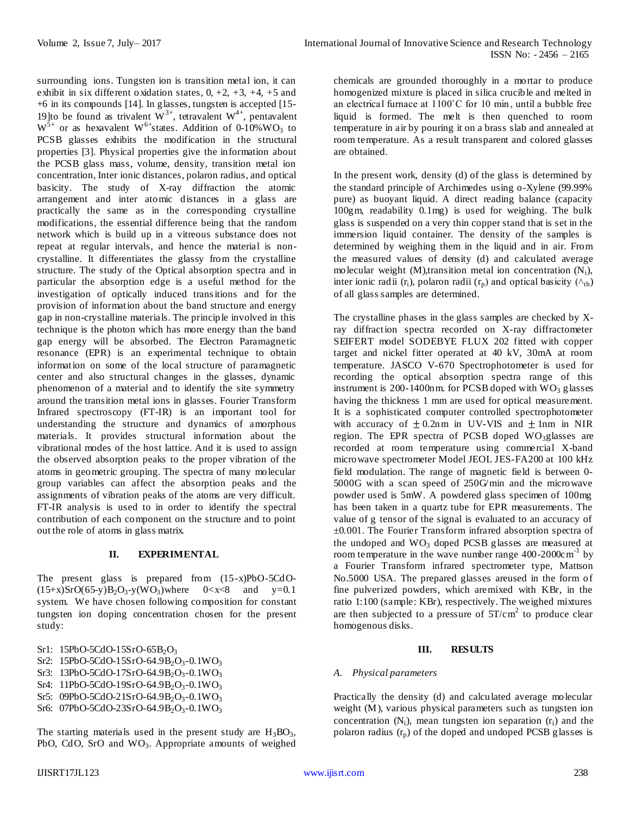surrounding ions. Tungsten ion is transition metal ion, it can exhibit in six different oxidation states,  $0, +2, +3, +4, +5$  and +6 in its compounds [14]. In glasses, tungsten is accepted [15- 19]to be found as trivalent  $W^{3+}$ , tetravalent  $W^{4+}$ , pentavalent  $W^{5+}$  or as hexavalent W<sup>6+</sup>states. Addition of 0-10%WO<sub>3</sub> to PCSB glasses exhibits the modification in the structural properties [3]. Physical properties give the information about the PCSB glass mass, volume, density, transition metal ion concentration, Inter ionic distances, polaron radius, and optical basicity. The study of X-ray diffraction the atomic arrangement and inter atomic distances in a glass are practically the same as in the corresponding crystalline modifications, the essential difference being that the random network which is build up in a vitreous substance does not repeat at regular intervals, and hence the material is noncrystalline. It differentiates the glassy from the crystalline structure. The study of the Optical absorption spectra and in particular the absorption edge is a useful method for the investigation of optically induced transitions and for the provision of information about the band structure and energy gap in non-crystalline materials. The principle involved in this technique is the photon which has more energy than the band gap energy will be absorbed. The Electron Paramagnetic resonance (EPR) is an experimental technique to obtain information on some of the local structure of paramagnetic center and also structural changes in the glasses, dynamic phenomenon of a material and to identify the site symmetry around the transition metal ions in glasses. Fourier Transform Infrared spectroscopy (FT-IR) is an important tool for understanding the structure and dynamics of amorphous materials. It provides structural information about the vibrational modes of the host lattice. And it is used to assign the observed absorption peaks to the proper vibration of the atoms in geometric grouping. The spectra of many molecular group variables can affect the absorption peaks and the assignments of vibration peaks of the atoms are very difficult. FT-IR analysis is used to in order to identify the spectral contribution of each component on the structure and to point out the role of atoms in glass matrix.

# **II. EXPERIMENTAL**

The present glass is prepared from (15-x)PbO-5CdO-  $(15+x)SrO(65-y)B<sub>2</sub>O<sub>3</sub>-y(WO<sub>3</sub>)$  where  $0 < x < 8$  and  $y = 0.1$ system. We have chosen following composition for constant tungsten ion doping concentration chosen for the present study:

Sr1:  $15PbO-5CdO-15SrO-65B<sub>2</sub>O<sub>3</sub>$ 

- Sr2:  $15PbO-5CdO-15SrO-64.9B<sub>2</sub>O<sub>3</sub>-0.1WO<sub>3</sub>$
- Sr3: 13PbO-5CdO-17SrO-64.9B<sub>2</sub>O<sub>3</sub>-0.1WO<sub>3</sub>
- Sr4:  $11PbO-5CdO-19SrO-64.9B<sub>2</sub>O<sub>3</sub>-0.1WO<sub>3</sub>$
- Sr5: 09PbO-5CdO-21SrO-64.9B<sub>2</sub>O<sub>3</sub>-0.1WO<sub>3</sub>
- Sr6: 07PbO-5CdO-23SrO-64.9B<sub>2</sub>O<sub>3</sub>-0.1WO<sub>3</sub>

The starting materials used in the present study are  $H_3BO_3$ , PbO, CdO, SrO and  $WO_3$ . Appropriate amounts of weighed chemicals are grounded thoroughly in a mortar to produce homogenized mixture is placed in silica crucible and melted in an electrical furnace at 1100˚C for 10 min, until a bubble free liquid is formed. The melt is then quenched to room temperature in air by pouring it on a brass slab and annealed at room temperature. As a result transparent and colored glasses are obtained.

In the present work, density (d) of the glass is determined by the standard principle of Archimedes using o-Xylene (99.99% pure) as buoyant liquid. A direct reading balance (capacity 100gm, readability 0.1mg) is used for weighing. The bulk glass is suspended on a very thin copper stand that is set in the immersion liquid container. The density of the samples is determined by weighing them in the liquid and in air. From the measured values of density (d) and calculated average molecular weight  $(M)$ , transition metal ion concentration  $(N_i)$ , inter ionic radii (r<sub>i</sub>), polaron radii (r<sub>n</sub>) and optical basicity ( $\wedge$ <sub>th</sub>) of all glass samples are determined.

The crystalline phases in the glass samples are checked by Xray diffraction spectra recorded on X-ray diffractometer SEIFERT model SODEBYE FLUX 202 fitted with copper target and nickel fitter operated at 40 kV, 30mA at room temperature. JASCO V-670 Spectrophotometer is used for recording the optical absorption spectra range of this instrument is 200-1400nm. for PCSB doped with  $WO_3$  glasses having the thickness 1 mm are used for optical measurement. It is a sophisticated computer controlled spectrophotometer with accuracy of  $\pm 0.2$ nm in UV-VIS and  $\pm 1$ nm in NIR region. The EPR spectra of PCSB doped WO<sub>3</sub>glasses are recorded at room temperature using commercial X-band microwave spectrometer Model JEOL JES-FA200 at 100 kHz field modulation. The range of magnetic field is between 0- 5000G with a scan speed of 250G/min and the microwave powder used is 5mW. A powdered glass specimen of 100mg has been taken in a quartz tube for EPR measurements. The value of g tensor of the signal is evaluated to an accuracy of ±0.001. The Fourier Transform infrared absorption spectra of the undoped and  $WO<sub>3</sub>$  doped PCSB glasses are measured at room temperature in the wave number range  $400-2000 \text{cm}^{-1}$  by a Fourier Transform infrared spectrometer type, Mattson No.5000 USA. The prepared glasses areused in the form of fine pulverized powders, which aremixed with KBr, in the ratio 1:100 (sample: KBr), respectively. The weighed mixtures are then subjected to a pressure of  $5T/cm^2$  to produce clear homogenous disks.

#### **III. RESULTS**

# *A. Physical parameters*

Practically the density (d) and calculated average molecular weight (M), various physical parameters such as tungsten ion concentration  $(N_i)$ , mean tungsten ion separation  $(r_i)$  and the polaron radius  $(r_p)$  of the doped and undoped PCSB glasses is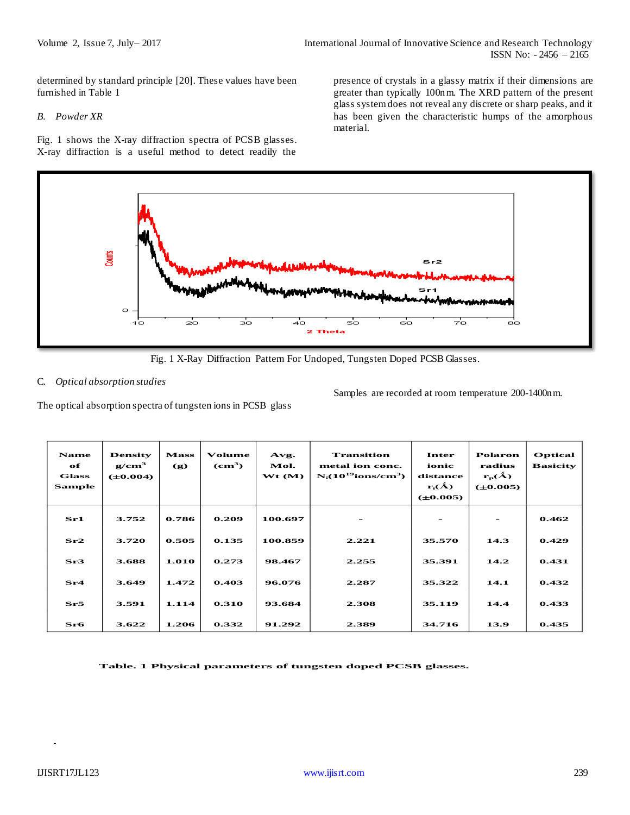determined by standard principle [20]. These values have been furnished in Table 1

## *B. Powder XR*

Fig. 1 shows the X-ray diffraction spectra of PCSB glasses. X-ray diffraction is a useful method to detect readily the

presence of crystals in a glassy matrix if their dimensions are greater than typically 100nm. The XRD pattern of the present glass system does not reveal any discrete or sharp peaks, and it has been given the characteristic humps of the amorphous material.



Fig. 1 X-Ray Diffraction Pattern For Undoped, Tungsten Doped PCSB Glasses.

## C. *Optical absorption studies*

The optical absorption spectra of tungsten ions in PCSB glass

Samples are recorded at room temperature 200-1400nm.

| <b>Name</b><br>of<br><b>Glass</b><br><b>Sample</b> | <b>Density</b><br>g/cm <sup>3</sup><br>$(\pm 0.004)$ | <b>Mass</b><br>$\left( \mathbf{g} \right)$ | Volume<br>$\rm \left( cm^3 \right)$ | Avg.<br>Mol.<br>Wt(M) | <b>Transition</b><br>metal ion conc.<br>$N_i(10^{19}$ ions/cm <sup>3</sup> ) | Inter<br>ionic<br>distance<br>$\mathbf{r}_i(\hat{\mathbf{A}})$<br>$(\pm 0.005)$ | <b>Polaron</b><br>radius<br>$r_{p}(A)$<br>$(\pm 0.005)$ | <b>Optical</b><br><b>Basicity</b> |
|----------------------------------------------------|------------------------------------------------------|--------------------------------------------|-------------------------------------|-----------------------|------------------------------------------------------------------------------|---------------------------------------------------------------------------------|---------------------------------------------------------|-----------------------------------|
| Sri1                                               | 3.752                                                | 0.786                                      | 0.209                               | 100.697               |                                                                              | -                                                                               |                                                         | 0.462                             |
| Sr2                                                | 3.720                                                | 0.505                                      | 0.135                               | 100.859               | 2.221                                                                        | 35.570                                                                          | 14.3                                                    | 0.429                             |
| Sr3                                                | 3.688                                                | 1.010                                      | 0.273                               | 98.467                | 2.255                                                                        | 35.391                                                                          | 14.2                                                    | 0.431                             |
| Sr4                                                | 3.649                                                | 1.472                                      | 0.403                               | 96.076                | 2.287                                                                        | 35.322                                                                          | 14.1                                                    | 0.432                             |
| Sr5                                                | 3.591                                                | 1.114                                      | 0.310                               | 93.684                | 2.308                                                                        | 35.119                                                                          | 14.4                                                    | 0.433                             |
| $S_{\mathbf{r6}}$                                  | 3.622                                                | 1.206                                      | 0.332                               | 91.292                | 2.389                                                                        | 34.716                                                                          | 13.9                                                    | 0.435                             |

 **Table. 1 Physical parameters of tungsten doped PCSB glasses.**

**.**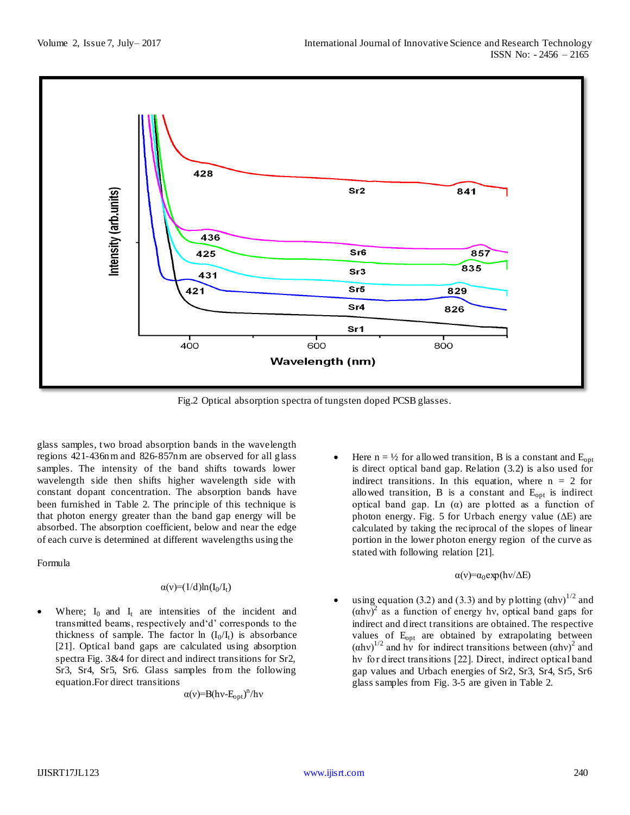

Fig.2 Optical absorption spectra of tungsten doped PCSB glasses.

glass samples, two broad absorption bands in the wavelength regions 421-436nm and 826-857nm are observed for all glass samples. The intensity of the band shifts towards lower wavelength side then shifts higher wavelength side with constant dopant concentration. The absorption bands have been furnished in Table 2. The principle of this technique is that photon energy greater than the band gap energy will be absorbed. The absorption coefficient, below and near the edge of each curve is determined at different wavelengths using the

Formula

#### $\alpha(v)=(1/d)ln(I_0/I_t)$

Where;  $I_0$  and  $I_t$  are intensities of the incident and transmitted beams, respectively and'd' corresponds to the thickness of sample. The factor ln  $(I_0/I_t)$  is absorbance [21]. Optical band gaps are calculated using absorption spectra Fig. 3&4 for direct and indirect transitions for Sr2, Sr3, Sr4, Sr5, Sr6. Glass samples from the following equation.For direct transitions

 $\alpha(v) = B(hv-E_{opt})^n/hv$ 

Here  $n = \frac{1}{2}$  for allowed transition, B is a constant and  $E_{opt}$ is direct optical band gap. Relation (3.2) is also used for indirect transitions. In this equation, where  $n = 2$  for allowed transition,  $B$  is a constant and  $E_{opt}$  is indirect optical band gap. Ln (α) are plotted as a function of photon energy. Fig. 5 for Urbach energy value  $(\Delta E)$  are calculated by taking the reciprocal of the slopes of linear portion in the lower photon energy region of the curve as stated with following relation [21].

#### $\alpha(v) = \alpha_0 \exp(hv/\Delta E)$

using equation (3.2) and (3.3) and by plotting  $(ahv)^{1/2}$  and  $(ahv)^2$  as a function of energy hv, optical band gaps for indirect and direct transitions are obtained. The respective values of E<sub>opt</sub> are obtained by extrapolating between  $(ahv)^{1/2}$  and hy for indirect transitions between  $(ahv)^2$  and hy for direct transitions [22]. Direct, indirect optical band gap values and Urbach energies of Sr2, Sr3, Sr4, Sr5, Sr6 glass samples from Fig. 3-5 are given in Table 2.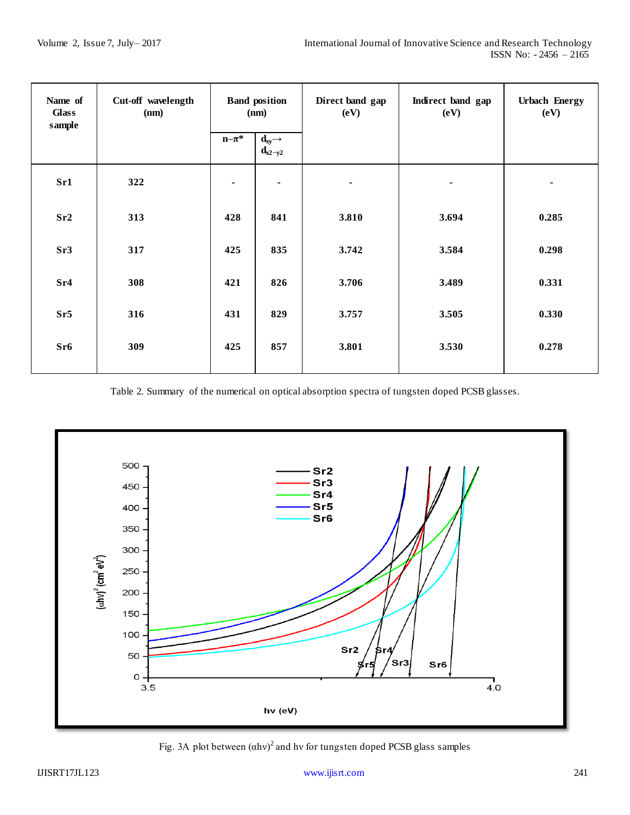| Name of<br><b>Glass</b><br>sample | <b>Band position</b><br>Cut-off wavelength<br>(nm)<br>(nm) |                |                                                       | Direct band gap<br>(eV) | Indirect band gap<br>(eV) | <b>Urbach Energy</b><br>(eV) |  |
|-----------------------------------|------------------------------------------------------------|----------------|-------------------------------------------------------|-------------------------|---------------------------|------------------------------|--|
|                                   |                                                            | $n-\pi^*$      | $\mathbf{d}_{xy} \rightarrow$<br>$\mathbf{d}_{x2-y2}$ |                         |                           |                              |  |
| Sr1                               | 322                                                        | $\blacksquare$ | $\blacksquare$                                        |                         |                           | $\blacksquare$               |  |
| Sr2                               | 313                                                        | 428            | 841                                                   | 3.810                   | 3.694                     | 0.285                        |  |
| Sr3                               | 317                                                        | 425            | 835                                                   | 3.742                   | 3.584                     | 0.298                        |  |
| Sr <sub>4</sub>                   | 308                                                        | 421            | 826                                                   | 3.706                   | 3.489                     | 0.331                        |  |
| Sr5                               | 316                                                        | 431            | 829                                                   | 3.757                   | 3.505                     | 0.330                        |  |
| Sr6                               | 309                                                        | 425            | 857                                                   | 3.801                   | 3.530                     | 0.278                        |  |

Table 2. Summary of the numerical on optical absorption spectra of tungsten doped PCSB glasses.



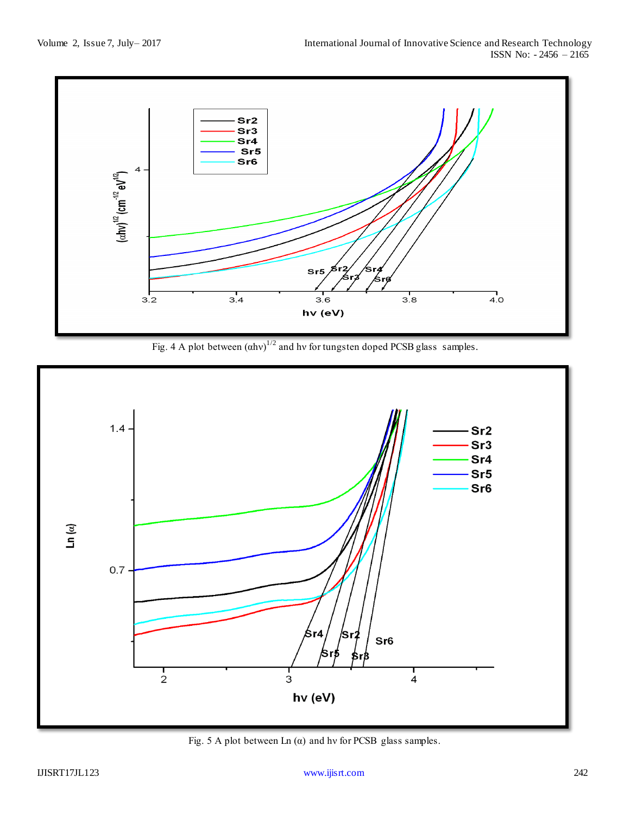

Fig. 4 A plot between  $(ahv)^{1/2}$  and hv for tungsten doped PCSB glass samples.



Fig. 5 A plot between Ln  $(\alpha)$  and hv for PCSB glass samples.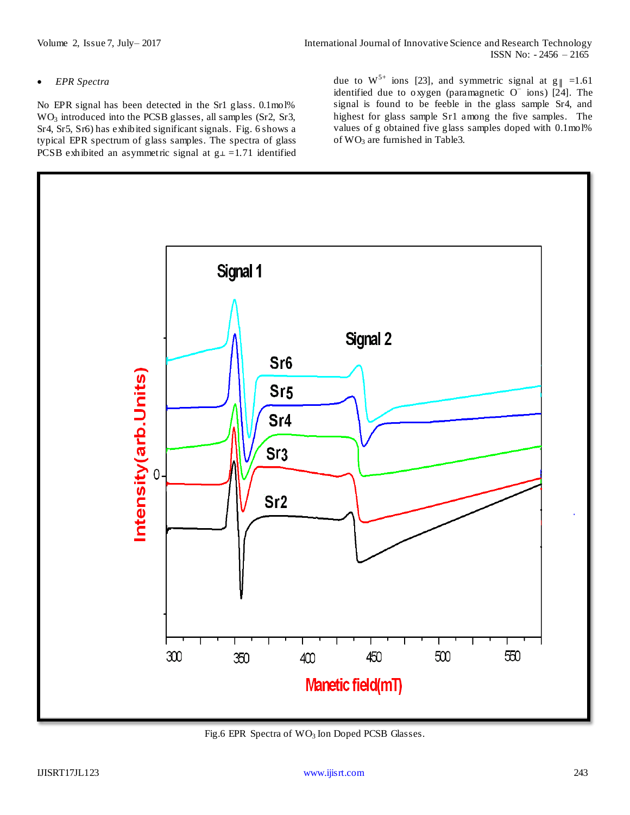## *EPR Spectra*

No EPR signal has been detected in the Sr1 glass. 0.1mol% WO<sub>3</sub> introduced into the PCSB glasses, all samples (Sr2, Sr3, Sr4, Sr5, Sr6) has exhibited significant signals. Fig. 6 shows a typical EPR spectrum of glass samples. The spectra of glass PCSB exhibited an asymmetric signal at  $g\perp$  =1.71 identified due to  $W^{5+}$  ions [23], and symmetric signal at  $g_{\parallel} = 1.61$ identified due to oxygen (paramagnetic  $O<sup>-</sup>$  ions) [24]. The signal is found to be feeble in the glass sample Sr4, and highest for glass sample Sr1 among the five samples. The values of g obtained five glass samples doped with 0.1mol% of  $WO<sub>3</sub>$  are furnished in Table3.



Fig.6 EPR Spectra of  $WO_3$  Ion Doped PCSB Glasses.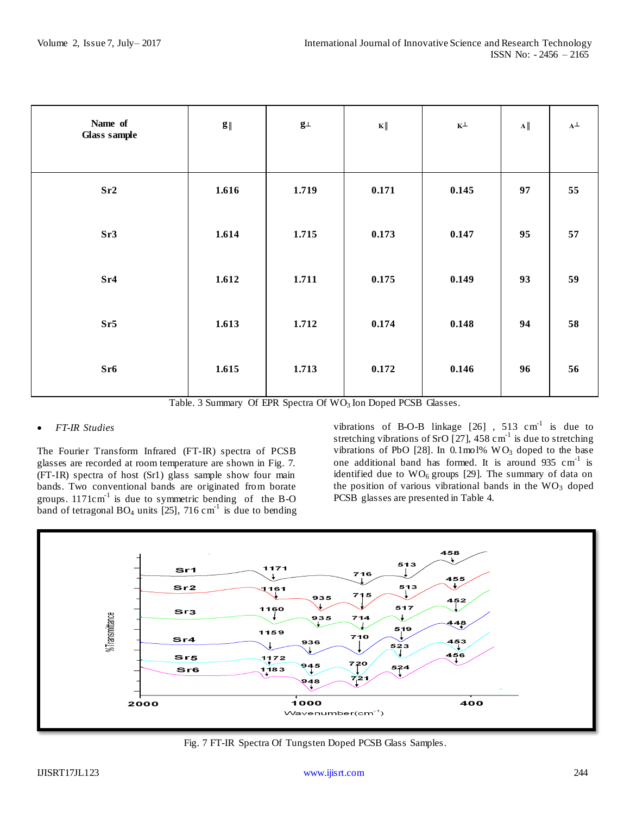| Name of<br><b>Glass sample</b> | $\mathbf{g}_{\parallel}$ | $\mathbf{g}\bot$ | $\mathbf{K}\ $ | $\mathbf{K}^{\perp}$ | $\mathbf{A}\parallel$ | $\mathbf{A}^{\perp}$ |
|--------------------------------|--------------------------|------------------|----------------|----------------------|-----------------------|----------------------|
| Sr2                            | 1.616                    | 1.719            | 0.171          | 0.145                | 97                    | 55                   |
| Sr3                            | 1.614                    | 1.715            | 0.173          | 0.147                | 95                    | 57                   |
| Sr <sub>4</sub>                | 1.612                    | 1.711            | 0.175          | 0.149                | 93                    | 59                   |
| Sr5                            | 1.613                    | 1.712            | 0.174          | 0.148                | 94                    | 58                   |
| Sr6                            | 1.615                    | 1.713            | 0.172          | 0.146                | 96                    | 56                   |

Table. 3 Summary Of EPR Spectra Of WO<sub>3</sub> Ion Doped PCSB Glasses.

# *FT-IR Studies*

The Fourier Transform Infrared (FT-IR) spectra of PCSB glasses are recorded at room temperature are shown in Fig. 7. (FT-IR) spectra of host (Sr1) glass sample show four main bands. Two conventional bands are originated from borate groups.  $1171 \text{cm}^{-1}$  is due to symmetric bending of the B-O band of tetragonal  $BO_4$  units [25], 716 cm<sup>-1</sup> is due to bending

vibrations of B-O-B linkage  $[26]$ , 513 cm<sup>-1</sup> is due to stretching vibrations of SrO  $[27]$ , 458 cm<sup>-1</sup> is due to stretching vibrations of PbO [28]. In 0.1mol%  $WO<sub>3</sub>$  doped to the base one additional band has formed. It is around  $935 \text{ cm}^{-1}$  is identified due to  $WO_6$  groups [29]. The summary of data on the position of various vibrational bands in the  $WO<sub>3</sub>$  doped PCSB glasses are presented in Table 4.



Fig. 7 FT-IR Spectra Of Tungsten Doped PCSB Glass Samples.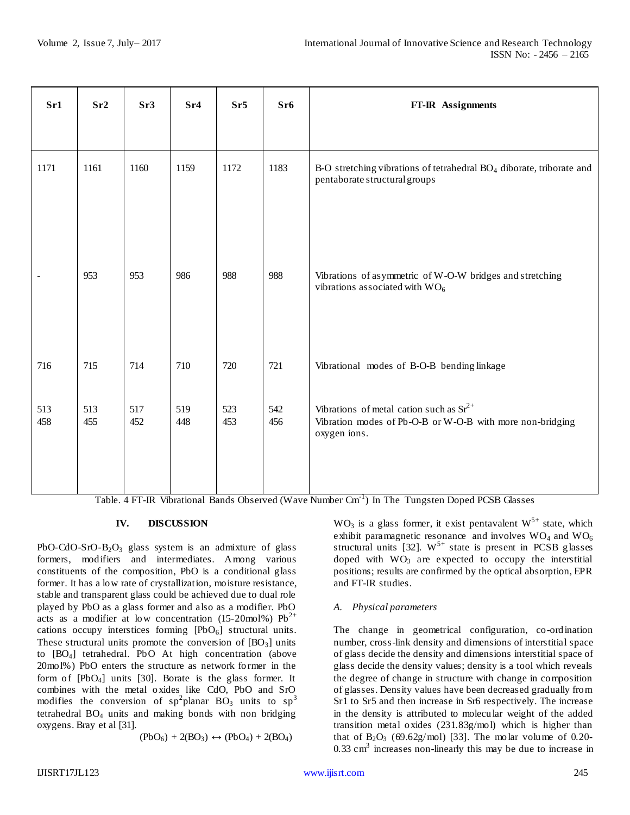| $S_{r1}$                 | Sr2        | Sr3        | Sr <sub>4</sub> | Sr <sub>5</sub> | Sr6        | FT-IR Assignments                                                                                                         |
|--------------------------|------------|------------|-----------------|-----------------|------------|---------------------------------------------------------------------------------------------------------------------------|
| 1171                     | 1161       | 1160       | 1159            | 1172            | 1183       | B-O stretching vibrations of tetrahedral BO <sub>4</sub> diborate, triborate and<br>pentaborate structural groups         |
| $\overline{\phantom{a}}$ | 953        | 953        | 986             | 988             | 988        | Vibrations of asymmetric of W-O-W bridges and stretching<br>vibrations associated with WO <sub>6</sub>                    |
| 716                      | 715        | 714        | 710             | 720             | 721        | Vibrational modes of B-O-B bending linkage                                                                                |
| 513<br>458               | 513<br>455 | 517<br>452 | 519<br>448      | 523<br>453      | 542<br>456 | Vibrations of metal cation such as $Sr^{2+}$<br>Vibration modes of Pb-O-B or W-O-B with more non-bridging<br>oxygen ions. |

Table. 4 FT-IR Vibrational Bands Observed (Wave Number Cm<sup>-1</sup>) In The Tungsten Doped PCSB Glasses

# **IV. DISCUSSION**

PbO-CdO-SrO-B<sub>2</sub>O<sub>3</sub> glass system is an admixture of glass formers, modifiers and intermediates. Among various constituents of the composition, PbO is a conditional glass former. It has a low rate of crystallization, moisture resistance, stable and transparent glass could be achieved due to dual role played by PbO as a glass former and also as a modifier. PbO acts as a modifier at low concentration (15-20mol%) Pb<sup>2+</sup> cations occupy interstices forming  $[PbO<sub>6</sub>]$  structural units. These structural units promote the conversion of  $[BO_3]$  units to [BO4] tetrahedral. PbO At high concentration (above 20mol%) PbO enters the structure as network former in the form of [PbO4] units [30]. Borate is the glass former. It combines with the metal oxides like CdO, PbO and SrO modifies the conversion of  $sp^2$ planar BO<sub>3</sub> units to  $sp^3$ tetrahedral BO<sup>4</sup> units and making bonds with non bridging oxygens. Bray et al [31].

$$
(PbO_6) + 2(BO_3) \leftrightarrow (PbO_4) + 2(BO_4)
$$

 $WO<sub>3</sub>$  is a glass former, it exist pentavalent  $W<sup>5+</sup>$  state, which exhibit paramagnetic resonance and involves  $WO_4$  and  $WO_6$ structural units [32].  $W^{5+}$  state is present in PCSB glasses doped with  $WO<sub>3</sub>$  are expected to occupy the interstitial positions; results are confirmed by the optical absorption, EPR and FT-IR studies.

# *A. Physical parameters*

The change in geometrical configuration, co-ordination number, cross-link density and dimensions of interstitial space of glass decide the density and dimensions interstitial space of glass decide the density values; density is a tool which reveals the degree of change in structure with change in composition of glasses. Density values have been decreased gradually from Sr1 to Sr5 and then increase in Sr6 respectively. The increase in the density is attributed to molecular weight of the added transition metal oxides (231.83g/mol) which is higher than that of  $B_2O_3$  (69.62g/mol) [33]. The molar volume of 0.20-0.33 cm<sup>3</sup> increases non-linearly this may be due to increase in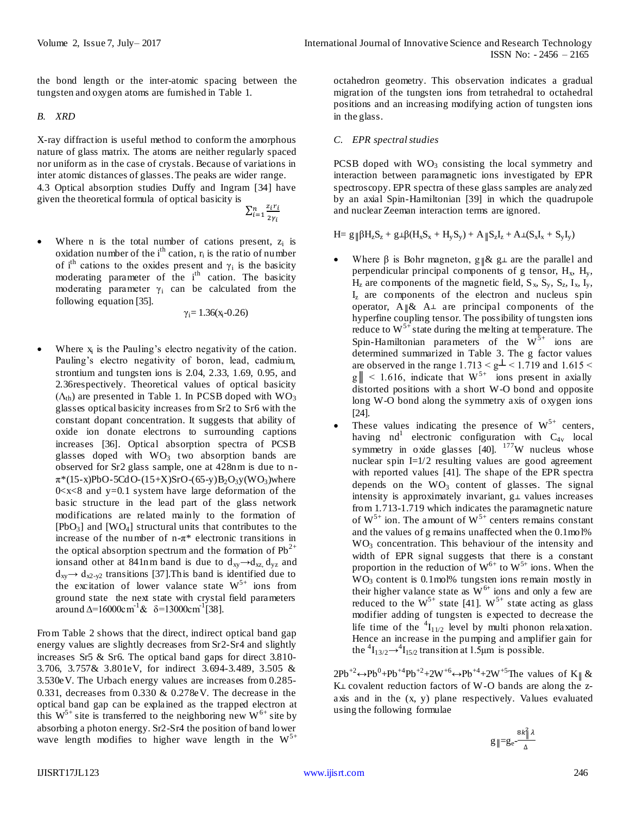the bond length or the inter-atomic spacing between the tungsten and oxygen atoms are furnished in Table 1.

## *B. XRD*

X-ray diffraction is useful method to conform the amorphous nature of glass matrix. The atoms are neither regularly spaced nor uniform as in the case of crystals. Because of variations in inter atomic distances of glasses. The peaks are wider range. 4.3 Optical absorption studies Duffy and Ingram [34] have

given the theoretical formula of optical basicity is

- ∑ z  $\overline{\mathbf{c}}$  $\frac{n}{i=1} \frac{z_i r_i}{z_i}$
- Where n is the total number of cations present,  $z_i$  is oxidation number of the  $i<sup>th</sup>$  cation,  $r_i$  is the ratio of number of i<sup>th</sup> cations to the oxides present and  $\gamma_i$  is the basicity moderating parameter of the  $i<sup>th</sup>$  cation. The basicity moderating parameter  $\gamma_i$  can be calculated from the following equation [35].

 $\gamma_i = 1.36(x_i - 0.26)$ 

• Where  $x_i$  is the Pauling's electro negativity of the cation. Pauling's electro negativity of boron, lead, cadmium, strontium and tungsten ions is 2.04, 2.33, 1.69, 0.95, and 2.36respectively. Theoretical values of optical basicity  $(\Lambda_{th})$  are presented in Table 1. In PCSB doped with WO<sub>3</sub> glasses optical basicity increases from Sr2 to Sr6 with the constant dopant concentration. It suggests that ability of oxide ion donate electrons to surrounding captions increases [36]. Optical absorption spectra of PCSB glasses doped with  $WO<sub>3</sub>$  two absorption bands are observed for Sr2 glass sample, one at 428nm is due to n- $\pi^*(15-x)PbO-5CdO-(15+X)SrO-(65-y)B_2O_3y(WO_3)$  where  $0 < x < 8$  and y=0.1 system have large deformation of the basic structure in the lead part of the glass network modifications are related mainly to the formation of  $[PbO<sub>3</sub>]$  and  $[WO<sub>4</sub>]$  structural units that contributes to the increase of the number of n-π\* electronic transitions in the optical absorption spectrum and the formation of  $Pb^{2+}$ ionsand other at 841nm band is due to  $d_{xy} \rightarrow d_{xz} d_{yz}$  and  $d_{xy} \rightarrow d_{x2-y2}$  transitions [37]. This band is identified due to the excitation of lower valance state  $W^{5+}$  ions from ground state the next state with crystal field parameters around  $\Delta = 16000 \text{cm}^{-1} \& \delta = 13000 \text{cm}^{-1} [38]$ .

From Table 2 shows that the direct, indirect optical band gap energy values are slightly decreases from Sr2-Sr4 and slightly increases Sr5 & Sr6. The optical band gaps for direct 3.810- 3.706, 3.757& 3.801eV, for indirect 3.694-3.489, 3.505 & 3.530eV. The Urbach energy values are increases from 0.285- 0.331, decreases from 0.330 & 0.278eV. The decrease in the optical band gap can be explained as the trapped electron at this  $W^{5+}$  site is transferred to the neighboring new  $W^{6+}$  site by absorbing a photon energy. Sr2-Sr4 the position of band lower wave length modifies to higher wave length in the  $W^{5+}$  octahedron geometry. This observation indicates a gradual migration of the tungsten ions from tetrahedral to octahedral positions and an increasing modifying action of tungsten ions in the glass.

## *C. EPR spectral studies*

PCSB doped with  $WO<sub>3</sub>$  consisting the local symmetry and interaction between paramagnetic ions investigated by EPR spectroscopy. EPR spectra of these glass samples are analyzed by an axial Spin-Hamiltonian [39] in which the quadrupole and nuclear Zeeman interaction terms are ignored.

$$
H = g \Vert \beta H_z S_z + g \bot \beta (H_x S_x + H_y S_y) + A \Vert S_z I_z + A \bot (S_x I_x + S_y I_y)
$$

- Where  $\beta$  is Bohr magneton, g  $\&$  g  $\perp$  are the parallel and perpendicular principal components of g tensor,  $H_x$ ,  $H_y$ ,  $H_z$  are components of the magnetic field,  $S_x$ ,  $S_y$ ,  $S_z$ ,  $I_x$ ,  $I_y$ ,  $I<sub>z</sub>$  are components of the electron and nucleus spin operator,  $A \& A \perp$  are principal components of the hyperfine coupling tensor. The possibility of tungsten ions reduce to  $W^{5+}$  state during the melting at temperature. The Spin-Hamiltonian parameters of the  $W^{\bar{5}+}$  ions are determined summarized in Table 3. The g factor values are observed in the range  $1.713 < g<sup>2</sup> < 1.719$  and  $1.615 <$  $g \parallel$  < 1.616, indicate that  $W^{5+}$  ions present in axially distorted positions with a short W-O bond and opposite long W-O bond along the symmetry axis of oxygen ions [24].
- These values indicating the presence of  $W^{5+}$  centers, having  $nd^1$  electronic configuration with  $C_{4v}$  local symmetry in oxide glasses  $[40]$ .  $177$ W nucleus whose nuclear spin I=1/2 resulting values are good agreement with reported values [41]. The shape of the EPR spectra depends on the  $WO<sub>3</sub>$  content of glasses. The signal intensity is approximately invariant,  $g\perp$  values increases from 1.713-1.719 which indicates the paramagnetic nature of  $W^{5+}$  ion. The amount of  $W^{5+}$  centers remains constant and the values of g remains unaffected when the 0.1mol% WO<sub>3</sub> concentration. This behaviour of the intensity and width of EPR signal suggests that there is a constant proportion in the reduction of  $W^{6+}$  to  $W^{5+}$  ions. When the WO<sub>3</sub> content is 0.1mol% tungsten ions remain mostly in their higher valance state as  $W^{6+}$  ions and only a few are reduced to the  $W^{5+}$  state [41].  $W^{5+}$  state acting as glass modifier adding of tungsten is expected to decrease the life time of the  ${}^{4}I_{11/2}$  level by multi phonon relaxation. Hence an increase in the pumping and amplifier gain for the  ${}^{4}I_{13/2} \rightarrow {}^{4}I_{15/2}$  transition at 1.5 µm is possible.

 $2Pb^{+2} \leftrightarrow Pb^{0} + Pb^{+4}Pb^{+2} + 2W^{+6} \leftrightarrow Pb^{+4} + 2W^{+5}$ The values of K<sub>||</sub> &  $K\perp$  covalent reduction factors of W-O bands are along the zaxis and in the (x, y) plane respectively. Values evaluated using the following formulae

$$
g \parallel = g_e - \frac{8k_\parallel^2 \lambda}{\Delta}
$$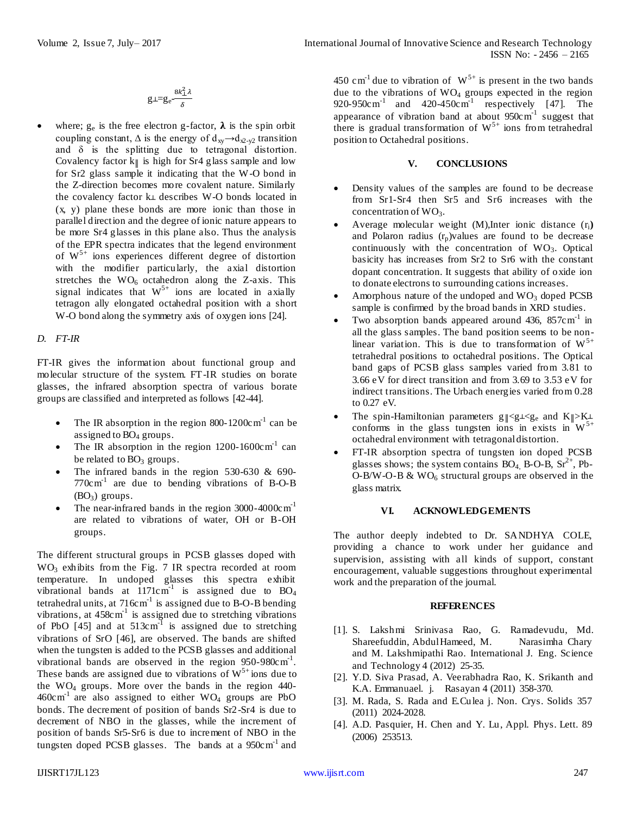$$
g \perp = g_e - \frac{8k_{\perp}^2 \lambda}{\delta}
$$

• where;  $g_e$  is the free electron g-factor,  $\lambda$  is the spin orbit coupling constant,  $\Delta$  is the energy of  $d_{xy} \rightarrow d_{x^2-y^2}$  transition and  $\delta$  is the splitting due to tetragonal distortion. Covalency factor  $k\parallel$  is high for Sr4 glass sample and low for Sr2 glass sample it indicating that the W-O bond in the Z-direction becomes more covalent nature. Similarly the covalency factor  $k\perp$  describes W-O bonds located in (x, y) plane these bonds are more ionic than those in parallel direction and the degree of ionic nature appears to be more Sr4 glasses in this plane also. Thus the analysis of the EPR spectra indicates that the legend environment of  $W^{5+}$  ions experiences different degree of distortion with the modifier particularly, the axial distortion stretches the  $WO<sub>6</sub> octahedron along the Z-axis. This$ signal indicates that  $W^{5+}$  ions are located in axially tetragon ally elongated octahedral position with a short W-O bond along the symmetry axis of oxygen ions [24].

## *D. FT-IR*

FT-IR gives the information about functional group and molecular structure of the system. FT-IR studies on borate glasses, the infrared absorption spectra of various borate groups are classified and interpreted as follows [42-44].

- The IR absorption in the region 800-1200 $cm^{-1}$  can be assigned to BO<sub>4</sub> groups.
- The IR absorption in the region  $1200-1600 \text{cm}^{-1}$  can be related to  $BO<sub>3</sub>$  groups.
- The infrared bands in the region 530-630 & 690-  $770c \text{ m}^1$  are due to bending vibrations of B-O-B  $(BO_3)$  groups.
- The near-infrared bands in the region  $3000 4000 \text{cm}^{-1}$ are related to vibrations of water, OH or B-OH groups.

The different structural groups in PCSB glasses doped with WO<sup>3</sup> exhibits from the Fig. 7 IR spectra recorded at room temperature. In undoped glasses this spectra exhibit vibrational bands at  $1171 \text{cm}^{-1}$  is assigned due to BO<sub>4</sub> tetrahedral units, at  $716 \text{cm}^{-1}$  is assigned due to B-O-B bending vibrations, at  $458 \text{cm}^{-1}$  is assigned due to stretching vibrations of PbO [45] and at  $513 \text{cm}^{-1}$  is assigned due to stretching vibrations of SrO [46], are observed. The bands are shifted when the tungsten is added to the PCSB glasses and additional vibrational bands are observed in the region  $950-980 \text{cm}^{-1}$ . These bands are assigned due to vibrations of  $W^{5+}$  ions due to the  $WO_4$  groups. More over the bands in the region 440- $460c \text{m}^1$  are also assigned to either WO<sub>4</sub> groups are PbO bonds. The decrement of position of bands Sr2-Sr4 is due to decrement of NBO in the glasses, while the increment of position of bands Sr5-Sr6 is due to increment of NBO in the tungsten doped PCSB glasses. The bands at a  $950 \text{cm}^{-1}$  and

450 cm<sup>-1</sup> due to vibration of  $W^{5+}$  is present in the two bands due to the vibrations of  $WO_4$  groups expected in the region  $920-950$ cm<sup>-1</sup> and  $420-450$ cm<sup>-1</sup> respectively [47]. The appearance of vibration band at about  $950 \text{cm}^{-1}$  suggest that there is gradual transformation of  $W^{5+}$  ions from tetrahedral position to Octahedral positions.

#### **V. CONCLUSIONS**

- Density values of the samples are found to be decrease from Sr1-Sr4 then Sr5 and Sr6 increases with the concentration of  $WO_3$ .
- Average molecular weight (M), Inter ionic distance (r<sub>i</sub>) and Polaron radius  $(r_p)$ values are found to be decrease continuously with the concentration of  $WO<sub>3</sub>$ . Optical basicity has increases from Sr2 to Sr6 with the constant dopant concentration. It suggests that ability of oxide ion to donate electrons to surrounding cations increases.
- Amorphous nature of the undoped and  $WO_3$  doped PCSB sample is confirmed by the broad bands in XRD studies.
- Two absorption bands appeared around 436,  $857 \text{cm}^{-1}$  in all the glass samples. The band position seems to be nonlinear variation. This is due to transformation of  $W^{5+}$ tetrahedral positions to octahedral positions. The Optical band gaps of PCSB glass samples varied from 3.81 to 3.66 eV for direct transition and from 3.69 to 3.53 eV for indirect transitions. The Urbach energies varied from 0.28 to 0.27 eV.
- The spin-Hamiltonian parameters  $g \| \langle g \bot \langle g_e \rangle \rangle$  and  $K \| \rangle K \bot$ conforms in the glass tungsten ions in exists in  $W^{5+}$ octahedral environment with tetragonal distortion.
- FT-IR absorption spectra of tungsten ion doped PCSB glasses shows; the system contains  $BO<sub>4</sub>$ , B-O-B,  $Sr<sup>2+</sup>$ , Pb-O-B/W-O-B  $& WO_6$  structural groups are observed in the glass matrix.

## **VI. ACKNOWLEDGEMENTS**

The author deeply indebted to Dr. SANDHYA COLE, providing a chance to work under her guidance and supervision, assisting with all kinds of support, constant encouragement, valuable suggestions throughout experimental work and the preparation of the journal.

### **REFERENCES**

- [1]. S. Lakshmi Srinivasa Rao, G. Ramadevudu, Md. Shareefuddin, Abdul Hameed, M. Narasimha Chary and M. Lakshmipathi Rao. International J. Eng. Science and Technology 4 (2012) 25-35.
- [2]. Y.D. Siva Prasad, A. Veerabhadra Rao, K. Srikanth and K.A. Emmanuael. j. Rasayan 4 (2011) 358-370.
- [3]. M. Rada, S. Rada and E.Culea j. Non. Crys. Solids 357 (2011) 2024-2028.
- [4]. A.D. Pasquier, H. Chen and Y. Lu, Appl. Phys. Lett. 89 (2006) 253513.